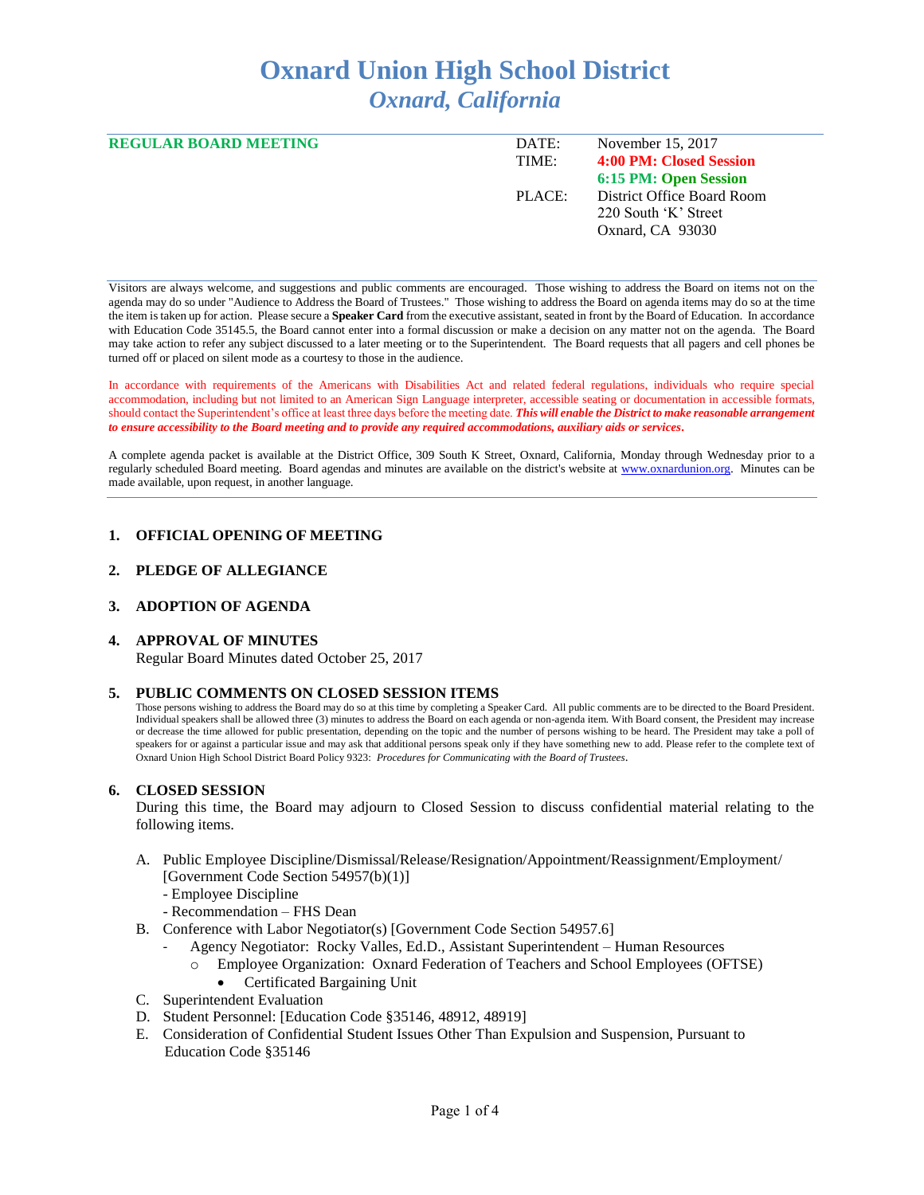# **Oxnard Union High School District** *Oxnard, California*

| <b>REGULAR BOARD MEETING</b> | DATE:<br>TIME: | November 15, 2017<br>4:00 PM: Closed Session |
|------------------------------|----------------|----------------------------------------------|
|                              |                | 6:15 PM: Open Session                        |
|                              | PLACE:         | District Office Board Room                   |
|                              |                | 220 South 'K' Street                         |
|                              |                | Oxnard, CA 93030                             |
|                              |                |                                              |

Visitors are always welcome, and suggestions and public comments are encouraged. Those wishing to address the Board on items not on the agenda may do so under "Audience to Address the Board of Trustees." Those wishing to address the Board on agenda items may do so at the time the item is taken up for action. Please secure a **Speaker Card** from the executive assistant, seated in front by the Board of Education. In accordance with Education Code 35145.5, the Board cannot enter into a formal discussion or make a decision on any matter not on the agenda. The Board may take action to refer any subject discussed to a later meeting or to the Superintendent. The Board requests that all pagers and cell phones be turned off or placed on silent mode as a courtesy to those in the audience.

In accordance with requirements of the Americans with Disabilities Act and related federal regulations, individuals who require special accommodation, including but not limited to an American Sign Language interpreter, accessible seating or documentation in accessible formats, should contact the Superintendent's office at least three days before the meeting date. *This will enable the District to make reasonable arrangement to ensure accessibility to the Board meeting and to provide any required accommodations, auxiliary aids or services.* 

A complete agenda packet is available at the District Office, 309 South K Street, Oxnard, California, Monday through Wednesday prior to a regularly scheduled Board meeting. Board agendas and minutes are available on the district's website a[t www.oxnardunion.o](http://www.oxnardunion/)rg.Minutes can be made available, upon request, in another language.

## **1. OFFICIAL OPENING OF MEETING**

#### **2. PLEDGE OF ALLEGIANCE**

# **3. ADOPTION OF AGENDA**

#### **4. APPROVAL OF MINUTES**

Regular Board Minutes dated October 25, 2017

#### **5. PUBLIC COMMENTS ON CLOSED SESSION ITEMS**

Those persons wishing to address the Board may do so at this time by completing a Speaker Card. All public comments are to be directed to the Board President. Individual speakers shall be allowed three (3) minutes to address the Board on each agenda or non-agenda item. With Board consent, the President may increase or decrease the time allowed for public presentation, depending on the topic and the number of persons wishing to be heard. The President may take a poll of speakers for or against a particular issue and may ask that additional persons speak only if they have something new to add. Please refer to the complete text of Oxnard Union High School District Board Policy 9323: *Procedures for Communicating with the Board of Trustees*.

#### **6. CLOSED SESSION**

During this time, the Board may adjourn to Closed Session to discuss confidential material relating to the following items.

- A. Public Employee Discipline/Dismissal/Release/Resignation/Appointment/Reassignment/Employment/ [Government Code Section 54957(b)(1)]
	- Employee Discipline
	- Recommendation FHS Dean
- B. Conference with Labor Negotiator(s) [Government Code Section 54957.6]
	- Agency Negotiator: Rocky Valles, Ed.D., Assistant Superintendent Human Resources
	- o Employee Organization: Oxnard Federation of Teachers and School Employees (OFTSE) • Certificated Bargaining Unit
- C. Superintendent Evaluation
- D. Student Personnel: [Education Code §35146, 48912, 48919]
- E. Consideration of Confidential Student Issues Other Than Expulsion and Suspension, Pursuant to Education Code §35146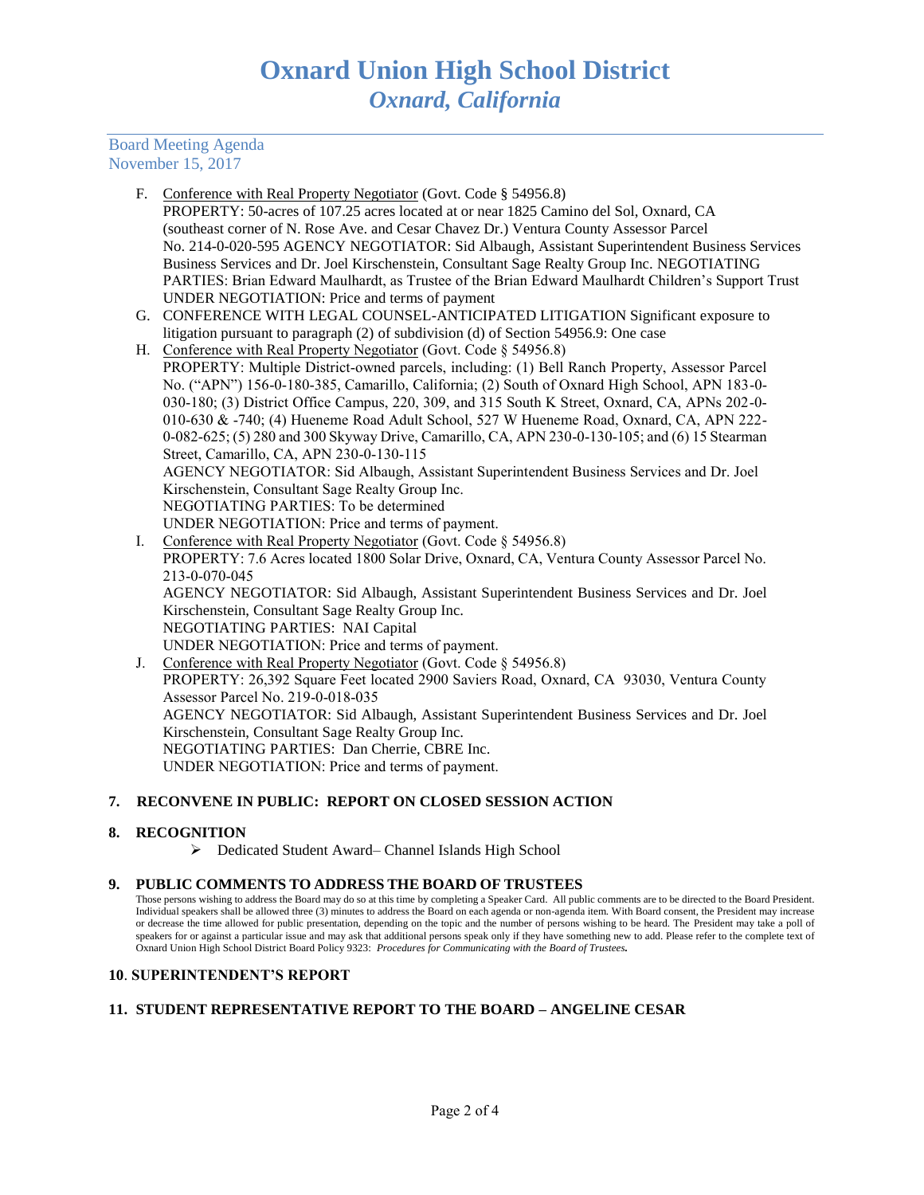# Board Meeting Agenda November 15, 2017

- F. Conference with Real Property Negotiator (Govt. Code § 54956.8) PROPERTY: 50-acres of 107.25 acres located at or near 1825 Camino del Sol, Oxnard, CA (southeast corner of N. Rose Ave. and Cesar Chavez Dr.) Ventura County Assessor Parcel No. 214-0-020-595 AGENCY NEGOTIATOR: Sid Albaugh, Assistant Superintendent Business Services Business Services and Dr. Joel Kirschenstein, Consultant Sage Realty Group Inc. NEGOTIATING PARTIES: Brian Edward Maulhardt, as Trustee of the Brian Edward Maulhardt Children's Support Trust UNDER NEGOTIATION: Price and terms of payment
- G. CONFERENCE WITH LEGAL COUNSEL-ANTICIPATED LITIGATION Significant exposure to litigation pursuant to paragraph (2) of subdivision (d) of Section 54956.9: One case
- H. Conference with Real Property Negotiator (Govt. Code § 54956.8) PROPERTY: Multiple District-owned parcels, including: (1) Bell Ranch Property, Assessor Parcel No. ("APN") 156-0-180-385, Camarillo, California; (2) South of Oxnard High School, APN 183-0- 030-180; (3) District Office Campus, 220, 309, and 315 South K Street, Oxnard, CA, APNs 202-0- 010-630 & -740; (4) Hueneme Road Adult School, 527 W Hueneme Road, Oxnard, CA, APN 222- 0-082-625; (5) 280 and 300 Skyway Drive, Camarillo, CA, APN 230-0-130-105; and (6) 15 Stearman Street, Camarillo, CA, APN 230-0-130-115 AGENCY NEGOTIATOR: Sid Albaugh, Assistant Superintendent Business Services and Dr. Joel Kirschenstein, Consultant Sage Realty Group Inc. NEGOTIATING PARTIES: To be determined UNDER NEGOTIATION: Price and terms of payment.
- I. Conference with Real Property Negotiator (Govt. Code § 54956.8) PROPERTY: 7.6 Acres located 1800 Solar Drive, Oxnard, CA, Ventura County Assessor Parcel No. 213-0-070-045 AGENCY NEGOTIATOR: Sid Albaugh, Assistant Superintendent Business Services and Dr. Joel Kirschenstein, Consultant Sage Realty Group Inc. NEGOTIATING PARTIES: NAI Capital UNDER NEGOTIATION: Price and terms of payment. J. Conference with Real Property Negotiator (Govt. Code § 54956.8)
- PROPERTY: 26,392 Square Feet located 2900 Saviers Road, Oxnard, CA 93030, Ventura County Assessor Parcel No. 219-0-018-035 AGENCY NEGOTIATOR: Sid Albaugh, Assistant Superintendent Business Services and Dr. Joel Kirschenstein, Consultant Sage Realty Group Inc. NEGOTIATING PARTIES: Dan Cherrie, CBRE Inc. UNDER NEGOTIATION: Price and terms of payment.

# **7. RECONVENE IN PUBLIC: REPORT ON CLOSED SESSION ACTION**

# **8. RECOGNITION**

➢ Dedicated Student Award– Channel Islands High School

# **9. PUBLIC COMMENTS TO ADDRESS THE BOARD OF TRUSTEES**

Those persons wishing to address the Board may do so at this time by completing a Speaker Card. All public comments are to be directed to the Board President. Individual speakers shall be allowed three (3) minutes to address the Board on each agenda or non-agenda item. With Board consent, the President may increase or decrease the time allowed for public presentation, depending on the topic and the number of persons wishing to be heard. The President may take a poll of speakers for or against a particular issue and may ask that additional persons speak only if they have something new to add. Please refer to the complete text of Oxnard Union High School District Board Policy 9323: *Procedures for Communicating with the Board of Trustees.*

# **10**. **SUPERINTENDENT'S REPORT**

# **11. STUDENT REPRESENTATIVE REPORT TO THE BOARD – ANGELINE CESAR**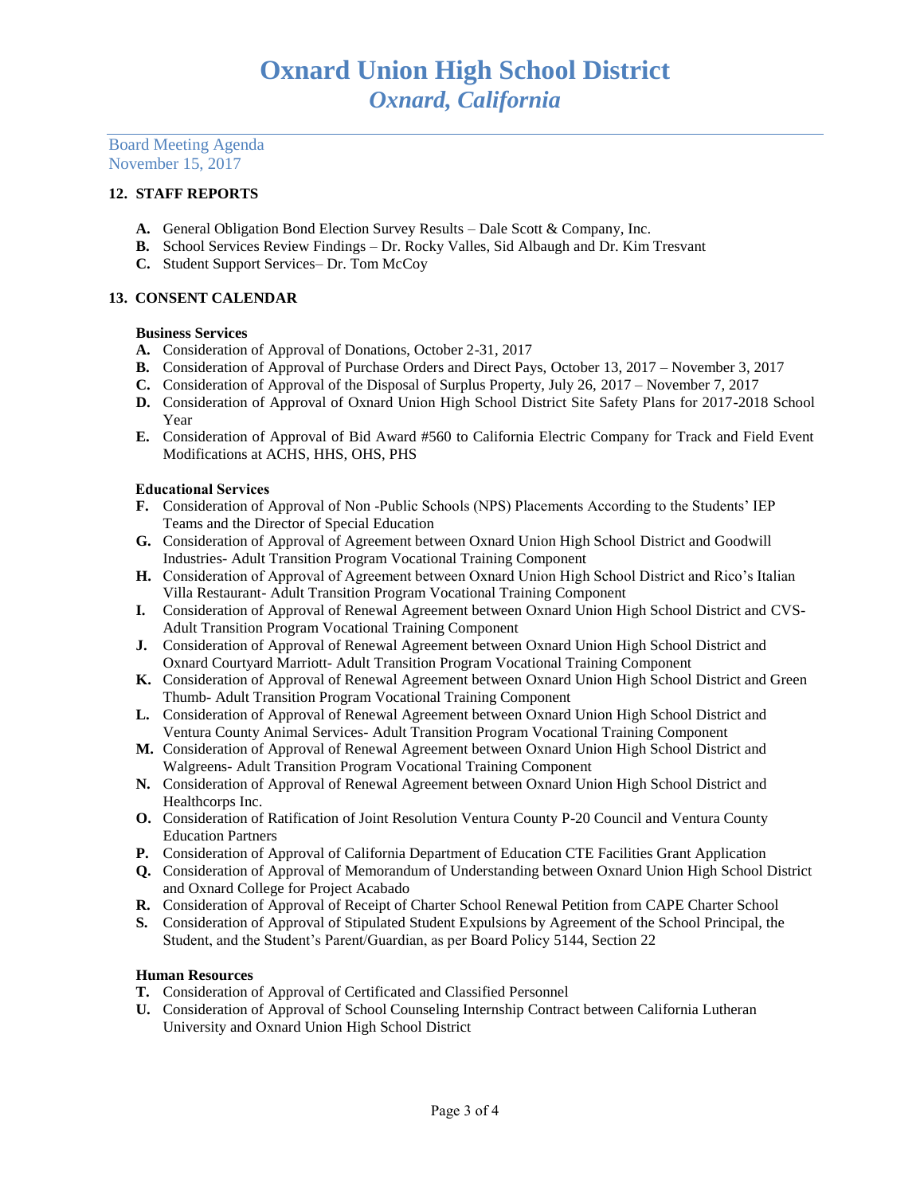Board Meeting Agenda November 15, 2017

# **12. STAFF REPORTS**

- **A.** General Obligation Bond Election Survey Results Dale Scott & Company, Inc.
- **B.** School Services Review Findings Dr. Rocky Valles, Sid Albaugh and Dr. Kim Tresvant
- **C.** Student Support Services– Dr. Tom McCoy

## **13. CONSENT CALENDAR**

## **Business Services**

- **A.** Consideration of Approval of Donations, October 2-31, 2017
- **B.** Consideration of Approval of Purchase Orders and Direct Pays, October 13, 2017 November 3, 2017
- **C.** Consideration of Approval of the Disposal of Surplus Property, July 26, 2017 November 7, 2017
- **D.** Consideration of Approval of Oxnard Union High School District Site Safety Plans for 2017-2018 School Year
- **E.** Consideration of Approval of Bid Award #560 to California Electric Company for Track and Field Event Modifications at ACHS, HHS, OHS, PHS

## Educational Services

- **F.** Consideration of Approval of Non -Public Schools (NPS) Placements According to the Students' IEP Teams and the Director of Special Education
- **G.** Consideration of Approval of Agreement between Oxnard Union High School District and Goodwill Industries- Adult Transition Program Vocational Training Component
- **H.** Consideration of Approval of Agreement between Oxnard Union High School District and Rico's Italian Villa Restaurant- Adult Transition Program Vocational Training Component
- **I.** Consideration of Approval of Renewal Agreement between Oxnard Union High School District and CVS-Adult Transition Program Vocational Training Component
- **J.** Consideration of Approval of Renewal Agreement between Oxnard Union High School District and Oxnard Courtyard Marriott- Adult Transition Program Vocational Training Component
- **K.** Consideration of Approval of Renewal Agreement between Oxnard Union High School District and Green Thumb- Adult Transition Program Vocational Training Component
- **L.** Consideration of Approval of Renewal Agreement between Oxnard Union High School District and Ventura County Animal Services- Adult Transition Program Vocational Training Component
- **M.** Consideration of Approval of Renewal Agreement between Oxnard Union High School District and Walgreens- Adult Transition Program Vocational Training Component
- **N.** Consideration of Approval of Renewal Agreement between Oxnard Union High School District and Healthcorps Inc.
- **O.** Consideration of Ratification of Joint Resolution Ventura County P-20 Council and Ventura County Education Partners
- **P.** Consideration of Approval of California Department of Education CTE Facilities Grant Application
- **Q.** Consideration of Approval of Memorandum of Understanding between Oxnard Union High School District and Oxnard College for Project Acabado
- **R.** Consideration of Approval of Receipt of Charter School Renewal Petition from CAPE Charter School
- **S.** Consideration of Approval of Stipulated Student Expulsions by Agreement of the School Principal, the Student, and the Student's Parent/Guardian, as per Board Policy 5144, Section 22

## **Human Resources**

- **T.** Consideration of Approval of Certificated and Classified Personnel
- **U.** Consideration of Approval of School Counseling Internship Contract between California Lutheran University and Oxnard Union High School District